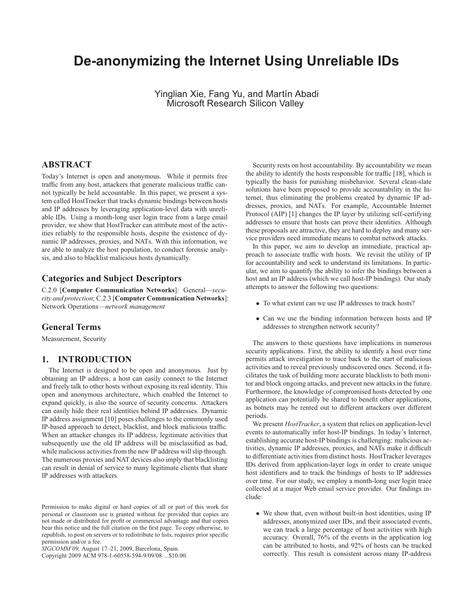# **De-anonymizing the Internet Using Unreliable IDs**

Yinglian Xie, Fang Yu, and Martín Abadi Microsoft Research Silicon Valley

# **ABSTRACT**

Today's Internet is open and anonymous. While it permits free traffic from any host, attackers that generate malicious traffic cannot typically be held accountable. In this paper, we present a system called HostTracker that tracks dynamic bindings between hosts and IP addresses by leveraging application-level data with unreliable IDs. Using a month-long user login trace from a large email provider, we show that HostTracker can attribute most of the activities reliably to the responsible hosts, despite the existence of dynamic IP addresses, proxies, and NATs. With this information, we are able to analyze the host population, to conduct forensic analysis, and also to blacklist malicious hosts dynamically.

# **Categories and Subject Descriptors**

C.2.0 [**Computer Communication Networks**]: General—*security and protection*; C.2.3 [**Computer Communication Networks**]: Network Operations—*network management*

# **General Terms**

Measurement, Security

# **1. INTRODUCTION**

The Internet is designed to be open and anonymous. Just by obtaining an IP address, a host can easily connect to the Internet and freely talk to other hosts without exposing its real identity. This open and anonymous architecture, which enabled the Internet to expand quickly, is also the source of security concerns. Attackers can easily hide their real identities behind IP addresses. Dynamic IP address assignment [10] poses challenges to the commonly used IP-based approach to detect, blacklist, and block malicious traffic. When an attacker changes its IP address, legitimate activities that subsequently use the old IP address will be misclassified as bad, while malicious activities from the new IP address will slip through. The numerous proxies and NAT devices also imply that blacklisting can result in denial of service to many legitimate clients that share IP addresses with attackers.

Security rests on host accountability. By accountability we mean the ability to identify the hosts responsible for traffic [18], which is typically the basis for punishing misbehavior. Several clean-slate solutions have been proposed to provide accountability in the Internet, thus eliminating the problems created by dynamic IP addresses, proxies, and NATs. For example, Accountable Internet Protocol (AIP) [1] changes the IP layer by utilizing self-certifying addresses to ensure that hosts can prove their identities. Although these proposals are attractive, they are hard to deploy and many service providers need immediate means to combat network attacks.

In this paper, we aim to develop an immediate, practical approach to associate traffic with hosts. We revisit the utility of IP for accountability and seek to understand its limitations. In particular, we aim to quantify the ability to infer the bindings between a host and an IP address (which we call host-IP bindings). Our study attempts to answer the following two questions:

- To what extent can we use IP addresses to track hosts?
- Can we use the binding information between hosts and IP addresses to strengthen network security?

The answers to these questions have implications in numerous security applications. First, the ability to identify a host over time permits attack investigation to trace back to the start of malicious activities and to reveal previously undiscovered ones. Second, it facilitates the task of building more accurate blacklists to both monitor and block ongoing attacks, and prevent new attacks in the future. Furthermore, the knowledge of compromised hosts detected by one application can potentially be shared to benefit other applications, as botnets may be rented out to different attackers over different periods.

We present *HostTracker*, a system that relies on application-level events to automatically infer host-IP bindings. In today's Internet, establishing accurate host-IP bindings is challenging: malicious activities, dynamic IP addresses, proxies, and NATs make it difficult to differentiate activities from distinct hosts. HostTracker leverages IDs derived from application-layer logs in order to create unique host identifiers and to track the bindings of hosts to IP addresses over time. For our study, we employ a month-long user login trace collected at a major Web email service provider. Our findings include:

• We show that, even without built-in host identities, using IP addresses, anonymized user IDs, and their associated events, we can track a large percentage of host activities with high accuracy. Overall, 76% of the events in the application log can be attributed to hosts, and 92% of hosts can be tracked correctly. This result is consistent across many IP-address

Permission to make digital or hard copies of all or part of this work for personal or classroom use is granted without fee provided that copies are not made or distributed for profit or commercial advantage and that copies bear this notice and the full citation on the first page. To copy otherwise, to republish, to post on servers or to redistribute to lists, requires prior specific permission and/or a fee.

*SIGCOMM'09,* August 17–21, 2009, Barcelona, Spain.

Copyright 2009 ACM 978-1-60558-594-9/09/08 ...\$10.00.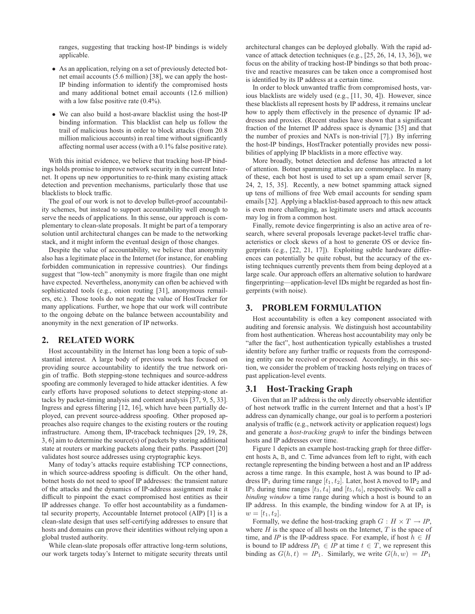ranges, suggesting that tracking host-IP bindings is widely applicable.

- As an application, relying on a set of previously detected botnet email accounts (5.6 million) [38], we can apply the host-IP binding information to identify the compromised hosts and many additional botnet email accounts (12.6 million) with a low false positive rate (0.4%).
- We can also build a host-aware blacklist using the host-IP binding information. This blacklist can help us follow the trail of malicious hosts in order to block attacks (from 20.8 million malicious accounts) in real time without significantly affecting normal user access (with a 0.1% false positive rate).

With this initial evidence, we believe that tracking host-IP bindings holds promise to improve network security in the current Internet. It opens up new opportunities to re-think many existing attack detection and prevention mechanisms, particularly those that use blacklists to block traffic.

The goal of our work is not to develop bullet-proof accountability schemes, but instead to support accountability well enough to serve the needs of applications. In this sense, our approach is complementary to clean-slate proposals. It might be part of a temporary solution until architectural changes can be made to the networking stack, and it might inform the eventual design of those changes.

Despite the value of accountability, we believe that anonymity also has a legitimate place in the Internet (for instance, for enabling forbidden communication in repressive countries). Our findings suggest that "low-tech" anonymity is more fragile than one might have expected. Nevertheless, anonymity can often be achieved with sophisticated tools (e.g., onion routing [31], anonymous remailers, etc.). Those tools do not negate the value of HostTracker for many applications. Further, we hope that our work will contribute to the ongoing debate on the balance between accountability and anonymity in the next generation of IP networks.

# **2. RELATED WORK**

Host accountability in the Internet has long been a topic of substantial interest. A large body of previous work has focused on providing source accountability to identify the true network origin of traffic. Both stepping-stone techniques and source-address spoofing are commonly leveraged to hide attacker identities. A few early efforts have proposed solutions to detect stepping-stone attacks by packet-timing analysis and content analysis [37, 9, 5, 33]. Ingress and egress filtering [12, 16], which have been partially deployed, can prevent source-address spoofing. Other proposed approaches also require changes to the existing routers or the routing infrastructure. Among them, IP-traceback techniques [29, 19, 28, 3, 6] aim to determine the source(s) of packets by storing additional state at routers or marking packets along their paths. Passport [20] validates host source addresses using cryptographic keys.

Many of today's attacks require establishing TCP connections, in which source-address spoofing is difficult. On the other hand, botnet hosts do not need to spoof IP addresses: the transient nature of the attacks and the dynamics of IP-address assignment make it difficult to pinpoint the exact compromised host entities as their IP addresses change. To offer host accountability as a fundamental security property, Accountable Internet protocol (AIP) [1] is a clean-slate design that uses self-certifying addresses to ensure that hosts and domains can prove their identities without relying upon a global trusted authority.

While clean-slate proposals offer attractive long-term solutions, our work targets today's Internet to mitigate security threats until architectural changes can be deployed globally. With the rapid advance of attack detection techniques (e.g., [25, 26, 14, 13, 36]), we focus on the ability of tracking host-IP bindings so that both proactive and reactive measures can be taken once a compromised host is identified by its IP address at a certain time.

In order to block unwanted traffic from compromised hosts, various blacklists are widely used (e.g., [11, 30, 4]). However, since these blacklists all represent hosts by IP address, it remains unclear how to apply them effectively in the presence of dynamic IP addresses and proxies. (Recent studies have shown that a significant fraction of the Internet IP address space is dynamic [35] and that the number of proxies and NATs is non-trivial [7].) By inferring the host-IP bindings, HostTracker potentially provides new possibilities of applying IP blacklists in a more effective way.

More broadly, botnet detection and defense has attracted a lot of attention. Botnet spamming attacks are commonplace. In many of these, each bot host is used to set up a spam email server [8, 24, 2, 15, 35]. Recently, a new botnet spamming attack signed up tens of millions of free Web email accounts for sending spam emails [32]. Applying a blacklist-based approach to this new attack is even more challenging, as legitimate users and attack accounts may log in from a common host.

Finally, remote device fingerprinting is also an active area of research, where several proposals leverage packet-level traffic characteristics or clock skews of a host to generate OS or device fingerprints (e.g., [22, 21, 17]). Exploiting subtle hardware differences can potentially be quite robust, but the accuracy of the existing techniques currently prevents them from being deployed at a large scale. Our approach offers an alternative solution to hardware fingerprinting—application-level IDs might be regarded as host fingerprints (with noise).

# **3. PROBLEM FORMULATION**

Host accountability is often a key component associated with auditing and forensic analysis. We distinguish host accountability from host authentication. Whereas host accountability may only be "after the fact", host authentication typically establishes a trusted identity before any further traffic or requests from the corresponding entity can be received or processed. Accordingly, in this section, we consider the problem of tracking hosts relying on traces of past application-level events.

# **3.1 Host-Tracking Graph**

Given that an IP address is the only directly observable identifier of host network traffic in the current Internet and that a host's IP address can dynamically change, our goal is to perform a posteriori analysis of traffic (e.g., network activity or application request) logs and generate a *host-tracking graph* to infer the bindings between hosts and IP addresses over time.

Figure 1 depicts an example host-tracking graph for three different hosts A, B, and C. Time advances from left to right, with each rectangle representing the binding between a host and an IP address across a time range. In this example, host A was bound to IP address IP<sub>1</sub> during time range  $[t_1, t_2]$ . Later, host A moved to IP<sub>2</sub> and IP<sub>5</sub> during time ranges  $[t_3, t_4]$  and  $[t_5, t_6]$ , respectively. We call a *binding window* a time range during which a host is bound to an IP address. In this example, the binding window for A at  $IP_1$  is  $w = [t_1, t_2].$ 

Formally, we define the host-tracking graph  $G : H \times T \rightarrow IP$ , where  $H$  is the space of all hosts on the Internet,  $T$  is the space of time, and *IP* is the IP-address space. For example, if host  $h \in H$ is bound to IP address  $IP_1 \in IP$  at time  $t \in T$ , we represent this binding as  $G(h, t) = IP_1$ . Similarly, we write  $G(h, w) = IP_1$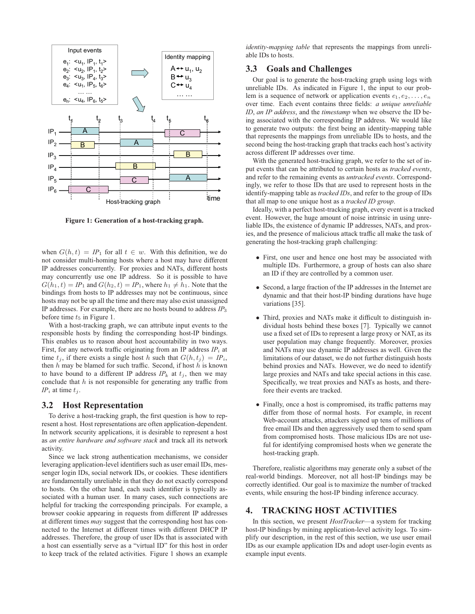

**Figure 1: Generation of a host-tracking graph.**

when  $G(h, t) = IP_1$  for all  $t \in w$ . With this definition, we do not consider multi-homing hosts where a host may have different IP addresses concurrently. For proxies and NATs, different hosts may concurrently use one IP address. So it is possible to have  $G(h_1, t) = IP_1$  and  $G(h_2, t) = IP_1$ , where  $h_1 \neq h_1$ . Note that the bindings from hosts to IP addresses may not be continuous, since hosts may not be up all the time and there may also exist unassigned IP addresses. For example, there are no hosts bound to address *IP*<sup>3</sup> before time  $t_5$  in Figure 1.

With a host-tracking graph, we can attribute input events to the responsible hosts by finding the corresponding host-IP bindings. This enables us to reason about host accountability in two ways. First, for any network traffic originating from an IP address  $IP_i$  at time  $t_j$ , if there exists a single host h such that  $G(h, t_j) = IP_i$ , then  $h$  may be blamed for such traffic. Second, if host  $h$  is known to have bound to a different IP address  $IP_k$  at  $t_i$ , then we may conclude that  $h$  is not responsible for generating any traffic from  $IP_i$  at time  $t_i$ .

# **3.2 Host Representation**

To derive a host-tracking graph, the first question is how to represent a host. Host representations are often application-dependent. In network security applications, it is desirable to represent a host as *an entire hardware and software stack* and track all its network activity.

Since we lack strong authentication mechanisms, we consider leveraging application-level identifiers such as user email IDs, messenger login IDs, social network IDs, or cookies. These identifiers are fundamentally unreliable in that they do not exactly correspond to hosts. On the other hand, each such identifier is typically associated with a human user. In many cases, such connections are helpful for tracking the corresponding principals. For example, a browser cookie appearing in requests from different IP addresses at different times *may* suggest that the corresponding host has connected to the Internet at different times with different DHCP IP addresses. Therefore, the group of user IDs that is associated with a host can essentially serve as a "virtual ID" for this host in order to keep track of the related activities. Figure 1 shows an example *identity-mapping table* that represents the mappings from unreliable IDs to hosts.

# **3.3 Goals and Challenges**

Our goal is to generate the host-tracking graph using logs with unreliable IDs. As indicated in Figure 1, the input to our problem is a sequence of network or application events  $e_1, e_2, \ldots, e_n$ over time. Each event contains three fields: *a unique unreliable ID*, *an IP address*, and the *timestamp* when we observe the ID being associated with the corresponding IP address. We would like to generate two outputs: the first being an identity-mapping table that represents the mappings from unreliable IDs to hosts, and the second being the host-tracking graph that tracks each host's activity across different IP addresses over time.

With the generated host-tracking graph, we refer to the set of input events that can be attributed to certain hosts as *tracked events*, and refer to the remaining events as *untracked events*. Correspondingly, we refer to those IDs that are used to represent hosts in the identify-mapping table as *tracked IDs*, and refer to the group of IDs that all map to one unique host as a *tracked ID group*.

Ideally, with a perfect host-tracking graph, every event is a tracked event. However, the huge amount of noise intrinsic in using unreliable IDs, the existence of dynamic IP addresses, NATs, and proxies, and the presence of malicious attack traffic all make the task of generating the host-tracking graph challenging:

- First, one user and hence one host may be associated with multiple IDs. Furthermore, a group of hosts can also share an ID if they are controlled by a common user.
- Second, a large fraction of the IP addresses in the Internet are dynamic and that their host-IP binding durations have huge variations [35].
- Third, proxies and NATs make it difficult to distinguish individual hosts behind these boxes [7]. Typically we cannot use a fixed set of IDs to represent a large proxy or NAT, as its user population may change frequently. Moreover, proxies and NATs may use dynamic IP addresses as well. Given the limitations of our dataset, we do not further distinguish hosts behind proxies and NATs. However, we do need to identify large proxies and NATs and take special actions in this case. Specifically, we treat proxies and NATs as hosts, and therefore their events are tracked.
- Finally, once a host is compromised, its traffic patterns may differ from those of normal hosts. For example, in recent Web-account attacks, attackers signed up tens of millions of free email IDs and then aggressively used them to send spam from compromised hosts. Those malicious IDs are not useful for identifying compromised hosts when we generate the host-tracking graph.

Therefore, realistic algorithms may generate only a subset of the real-world bindings. Moreover, not all host-IP bindings may be correctly identified. Our goal is to maximize the number of tracked events, while ensuring the host-IP binding inference accuracy.

# **4. TRACKING HOST ACTIVITIES**

In this section, we present *HostTracker*—a system for tracking host-IP bindings by mining application-level activity logs. To simplify our description, in the rest of this section, we use user email IDs as our example application IDs and adopt user-login events as example input events.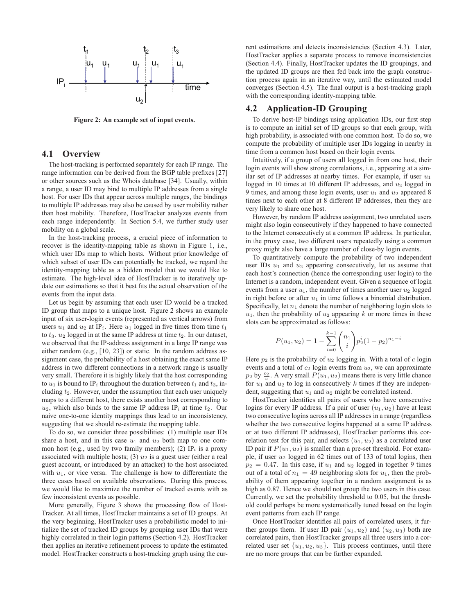

**Figure 2: An example set of input events.**

# **4.1 Overview**

The host-tracking is performed separately for each IP range. The range information can be derived from the BGP table prefixes [27] or other sources such as the Whois database [34]. Usually, within a range, a user ID may bind to multiple IP addresses from a single host. For user IDs that appear across multiple ranges, the bindings to multiple IP addresses may also be caused by user mobility rather than host mobility. Therefore, HostTracker analyzes events from each range independently. In Section 5.4, we further study user mobility on a global scale.

In the host-tracking process, a crucial piece of information to recover is the identity-mapping table as shown in Figure 1, i.e., which user IDs map to which hosts. Without prior knowledge of which subset of user IDs can potentially be tracked, we regard the identity-mapping table as a hidden model that we would like to estimate. The high-level idea of HostTracker is to iteratively update our estimations so that it best fits the actual observation of the events from the input data.

Let us begin by assuming that each user ID would be a tracked ID group that maps to a unique host. Figure 2 shows an example input of six user-login events (represented as vertical arrows) from users  $u_1$  and  $u_2$  at IP<sub>i</sub>. Here  $u_1$  logged in five times from time  $t_1$ to  $t_3$ .  $u_2$  logged in at the same IP address at time  $t_2$ . In our dataset, we observed that the IP-address assignment in a large IP range was either random (e.g., [10, 23]) or static. In the random address assignment case, the probability of a host obtaining the exact same IP address in two different connections in a network range is usually very small. Therefore it is highly likely that the host corresponding to  $u_1$  is bound to IP<sub>i</sub> throughout the duration between  $t_1$  and  $t_3$ , including  $t_2$ . However, under the assumption that each user uniquely maps to a different host, there exists another host corresponding to  $u_2$ , which also binds to the same IP address IP<sub>i</sub> at time  $t_2$ . Our naive one-to-one identity mappings thus lead to an inconsistency, suggesting that we should re-estimate the mapping table.

To do so, we consider three possibilities: (1) multiple user IDs share a host, and in this case  $u_1$  and  $u_2$  both map to one common host (e.g., used by two family members); (2)  $IP_i$  is a proxy associated with multiple hosts; (3)  $u_2$  is a guest user (either a real guest account, or introduced by an attacker) to the host associated with  $u_1$ , or vice versa. The challenge is how to differentiate the three cases based on available observations. During this process, we would like to maximize the number of tracked events with as few inconsistent events as possible.

More generally, Figure 3 shows the processing flow of Host-Tracker. At all times, HostTracker maintains a set of ID groups. At the very beginning, HostTracker uses a probabilistic model to initialize the set of tracked ID groups by grouping user IDs that were highly correlated in their login patterns (Section 4.2). HostTracker then applies an iterative refinement process to update the estimated model. HostTracker constructs a host-tracking graph using the current estimations and detects inconsistencies (Section 4.3). Later, HostTracker applies a separate process to remove inconsistencies (Section 4.4). Finally, HostTracker updates the ID groupings, and the updated ID groups are then fed back into the graph construction process again in an iterative way, until the estimated model converges (Section 4.5). The final output is a host-tracking graph with the corresponding identity-mapping table.

# **4.2 Application-ID Grouping**

To derive host-IP bindings using application IDs, our first step is to compute an initial set of ID groups so that each group, with high probability, is associated with one common host. To do so, we compute the probability of multiple user IDs logging in nearby in time from a common host based on their login events.

Intuitively, if a group of users all logged in from one host, their login events will show strong correlations, i.e., appearing at a similar set of IP addresses at nearby times. For example, if user  $u_1$ logged in 10 times at 10 different IP addresses, and  $u_2$  logged in 9 times, and among these login events, user  $u_1$  and  $u_2$  appeared 8 times next to each other at 8 different IP addresses, then they are very likely to share one host.

However, by random IP address assignment, two unrelated users might also login consecutively if they happened to have connected to the Internet consecutively at a common IP address. In particular, in the proxy case, two different users repeatedly using a common proxy might also have a large number of close-by login events.

To quantitatively compute the probability of two independent user IDs  $u_1$  and  $u_2$  appearing consecutively, let us assume that each host's connection (hence the corresponding user login) to the Internet is a random, independent event. Given a sequence of login events from a user  $u_1$ , the number of times another user  $u_2$  logged in right before or after  $u_1$  in time follows a binomial distribution. Specifically, let  $n_1$  denote the number of neighboring login slots to  $u_1$ , then the probability of  $u_2$  appearing k or more times in these slots can be approximated as follows:

$$
P(u_1, u_2) = 1 - \sum_{i=0}^{k-1} {n_1 \choose i} p_2^{i} (1 - p_2)^{n_1 - i}
$$

Here  $p_2$  is the probability of  $u_2$  logging in. With a total of c login events and a total of  $c_2$  login events from  $u_2$ , we can approximate  $p_2$  by  $\frac{c_2}{c}$ . A very small  $P(u_1, u_2)$  means there is very little chance for  $u_1$  and  $u_2$  to log in consecutively k times if they are independent, suggesting that  $u_1$  and  $u_2$  might be correlated instead.

HostTracker identifies all pairs of users who have consecutive logins for every IP address. If a pair of user  $(u_1, u_2)$  have at least two consecutive logins across all IP addresses in a range (regardless whether the two consecutive logins happened at a same IP address or at two different IP addresses), HostTracker performs this correlation test for this pair, and selects  $(u_1, u_2)$  as a correlated user ID pair if  $P(u_1, u_2)$  is smaller than a pre-set threshold. For example, if user  $u_2$  logged in 62 times out of 133 of total logins, then  $p_2 = 0.47$ . In this case, if  $u_1$  and  $u_2$  logged in together 9 times out of a total of  $n_1 = 49$  neighboring slots for  $u_1$ , then the probability of them appearing together in a random assignment is as high as 0.87. Hence we should not group the two users in this case. Currently, we set the probability threshold to 0.05, but the threshold could perhaps be more systematically tuned based on the login event patterns from each IP range.

Once HostTracker identifies all pairs of correlated users, it further groups them. If user ID pair  $(u_1, u_2)$  and  $(u_2, u_3)$  both are correlated pairs, then HostTracker groups all three users into a correlated user set  $\{u_1, u_2, u_3\}$ . This process continues, until there are no more groups that can be further expanded.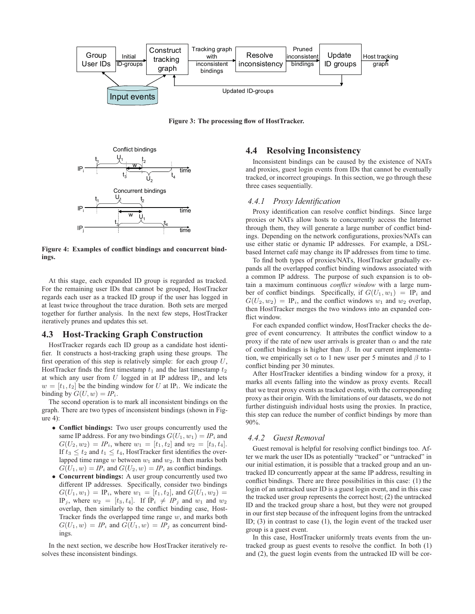

**Figure 3: The processing flow of HostTracker.**



**Figure 4: Examples of conflict bindings and concurrent bindings.**

At this stage, each expanded ID group is regarded as tracked. For the remaining user IDs that cannot be grouped, HostTracker regards each user as a tracked ID group if the user has logged in at least twice throughout the trace duration. Both sets are merged together for further analysis. In the next few steps, HostTracker iteratively prunes and updates this set.

#### **4.3 Host-Tracking Graph Construction**

HostTracker regards each ID group as a candidate host identifier. It constructs a host-tracking graph using these groups. The first operation of this step is relatively simple: for each group  $U$ , HostTracker finds the first timestamp  $t_1$  and the last timestamp  $t_2$ at which any user from U logged in at IP address  $IP_i$ , and lets  $w = [t_1, t_2]$  be the binding window for U at IP<sub>i</sub>. We indicate the binding by  $G(U, w) = IP_i$ .

The second operation is to mark all inconsistent bindings on the graph. There are two types of inconsistent bindings (shown in Figure 4):

- **Conflict bindings:** Two user groups concurrently used the same IP address. For any two bindings  $G(U_1, w_1) = IP_i$  and  $G(U_2, w_2) = IP_i$ , where  $w_1 = [t_1, t_2]$  and  $w_2 = [t_3, t_4]$ . If  $t_3 \leq t_2$  and  $t_1 \leq t_4$ , HostTracker first identifies the overlapped time range  $w$  between  $w_1$  and  $w_2$ . It then marks both  $G(U_1, w) = IP_i$  and  $G(U_2, w) = IP_i$  as conflict bindings.
- **Concurrent bindings:** A user group concurrently used two different IP addresses. Specifically, consider two bindings  $G(U_1, w_1) = \text{IP}_i$ , where  $w_1 = [t_1, t_2]$ , and  $G(U_1, w_2) =$ IP<sub>j</sub>, where  $w_2 = [t_3, t_4]$ . If  $\hat{IP}_i \neq IP_j$  and  $w_1$  and  $w_2$ overlap, then similarly to the conflict binding case, Host-Tracker finds the overlapped time range  $w$ , and marks both  $G(U_1, w) = IP_i$  and  $G(U_1, w) = IP_j$  as concurrent bindings.

In the next section, we describe how HostTracker iteratively resolves these inconsistent bindings.

# **4.4 Resolving Inconsistency**

Inconsistent bindings can be caused by the existence of NATs and proxies, guest login events from IDs that cannot be eventually tracked, or incorrect groupings. In this section, we go through these three cases sequentially.

# *4.4.1 Proxy Identification*

Proxy identification can resolve conflict bindings. Since large proxies or NATs allow hosts to concurrently access the Internet through them, they will generate a large number of conflict bindings. Depending on the network configurations, proxies/NATs can use either static or dynamic IP addresses. For example, a DSLbased Internet café may change its IP addresses from time to time.

To find both types of proxies/NATs, HostTracker gradually expands all the overlapped conflict binding windows associated with a common IP address. The purpose of such expansion is to obtain a maximum continuous *conflict window* with a large number of conflict bindings. Specifically, if  $G(U_1, w_1) = \text{IP}_i$  and  $G(U_2, w_2) = \mathbb{P}_i$ , and the conflict windows  $w_1$  and  $w_2$  overlap, then HostTracker merges the two windows into an expanded conflict window.

For each expanded conflict window, HostTracker checks the degree of event concurrency. It attributes the conflict window to a proxy if the rate of new user arrivals is greater than  $\alpha$  and the rate of conflict bindings is higher than  $\beta$ . In our current implementation, we empirically set  $\alpha$  to 1 new user per 5 minutes and  $\beta$  to 1 conflict binding per 30 minutes.

After HostTracker identifies a binding window for a proxy, it marks all events falling into the window as proxy events. Recall that we treat proxy events as tracked events, with the corresponding proxy as their origin. With the limitations of our datasets, we do not further distinguish individual hosts using the proxies. In practice, this step can reduce the number of conflict bindings by more than 90%.

#### *4.4.2 Guest Removal*

Guest removal is helpful for resolving conflict bindings too. After we mark the user IDs as potentially "tracked" or "untracked" in our initial estimation, it is possible that a tracked group and an untracked ID concurrently appear at the same IP address, resulting in conflict bindings. There are three possibilities in this case: (1) the login of an untracked user ID is a guest login event, and in this case the tracked user group represents the correct host; (2) the untracked ID and the tracked group share a host, but they were not grouped in our first step because of the infrequent logins from the untracked ID; (3) in contrast to case (1), the login event of the tracked user group is a guest event.

In this case, HostTracker uniformly treats events from the untracked group as guest events to resolve the conflict. In both (1) and (2), the guest login events from the untracked ID will be cor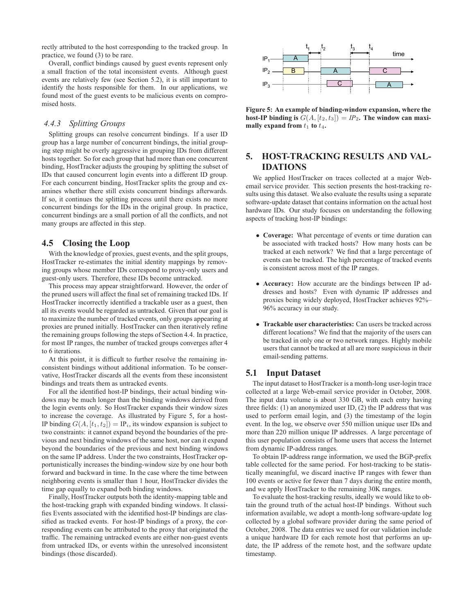rectly attributed to the host corresponding to the tracked group. In practice, we found (3) to be rare.

Overall, conflict bindings caused by guest events represent only a small fraction of the total inconsistent events. Although guest events are relatively few (see Section 5.2), it is still important to identify the hosts responsible for them. In our applications, we found most of the guest events to be malicious events on compromised hosts.

# *4.4.3 Splitting Groups*

Splitting groups can resolve concurrent bindings. If a user ID group has a large number of concurrent bindings, the initial grouping step might be overly aggressive in grouping IDs from different hosts together. So for each group that had more than one concurrent binding, HostTracker adjusts the grouping by splitting the subset of IDs that caused concurrent login events into a different ID group. For each concurrent binding, HostTracker splits the group and examines whether there still exists concurrent bindings afterwards. If so, it continues the splitting process until there exists no more concurrent bindings for the IDs in the original group. In practice, concurrent bindings are a small portion of all the conflicts, and not many groups are affected in this step.

# **4.5 Closing the Loop**

With the knowledge of proxies, guest events, and the split groups, HostTracker re-estimates the initial identity mappings by removing groups whose member IDs correspond to proxy-only users and guest-only users. Therefore, these IDs become untracked.

This process may appear straightforward. However, the order of the pruned users will affect the final set of remaining tracked IDs. If HostTracker incorrectly identified a trackable user as a guest, then all its events would be regarded as untracked. Given that our goal is to maximize the number of tracked events, only groups appearing at proxies are pruned initially. HostTracker can then iteratively refine the remaining groups following the steps of Section 4.4. In practice, for most IP ranges, the number of tracked groups converges after 4 to 6 iterations.

At this point, it is difficult to further resolve the remaining inconsistent bindings without additional information. To be conservative, HostTracker discards all the events from these inconsistent bindings and treats them as untracked events.

For all the identified host-IP bindings, their actual binding windows may be much longer than the binding windows derived from the login events only. So HostTracker expands their window sizes to increase the coverage. As illustrated by Figure 5, for a host-IP binding  $G(A, [t_1, t_2]) = \text{IP}_i$ , its window expansion is subject to two constraints: it cannot expand beyond the boundaries of the previous and next binding windows of the same host, nor can it expand beyond the boundaries of the previous and next binding windows on the same IP address. Under the two constraints, HostTracker opportunistically increases the binding-window size by one hour both forward and backward in time. In the case where the time between neighboring events is smaller than 1 hour, HostTracker divides the time gap equally to expand both binding windows.

Finally, HostTracker outputs both the identity-mapping table and the host-tracking graph with expanded binding windows. It classifies Events associated with the identified host-IP bindings are classified as tracked events. For host-IP bindings of a proxy, the corresponding events can be attributed to the proxy that originated the traffic. The remaining untracked events are either non-guest events from untracked IDs, or events within the unresolved inconsistent bindings (those discarded).



**Figure 5: An example of binding-window expansion, where the** host-IP binding is  $G(A, [t_2, t_3]) = IP_2$ . The window can maxi**mally expand from**  $t_1$  **to**  $t_4$ **.** 

# **5. HOST-TRACKING RESULTS AND VAL-IDATIONS**

We applied HostTracker on traces collected at a major Webemail service provider. This section presents the host-tracking results using this dataset. We also evaluate the results using a separate software-update dataset that contains information on the actual host hardware IDs. Our study focuses on understanding the following aspects of tracking host-IP bindings:

- **Coverage:** What percentage of events or time duration can be associated with tracked hosts? How many hosts can be tracked at each network? We find that a large percentage of events can be tracked. The high percentage of tracked events is consistent across most of the IP ranges.
- **Accuracy:** How accurate are the bindings between IP addresses and hosts? Even with dynamic IP addresses and proxies being widely deployed, HostTracker achieves 92%– 96% accuracy in our study.
- **Trackable user characteristics:** Can users be tracked across different locations? We find that the majority of the users can be tracked in only one or two network ranges. Highly mobile users that cannot be tracked at all are more suspicious in their email-sending patterns.

#### **5.1 Input Dataset**

The input dataset to HostTracker is a month-long user-login trace collected at a large Web-email service provider in October, 2008. The input data volume is about 330 GB, with each entry having three fields: (1) an anonymized user ID, (2) the IP address that was used to perform email login, and (3) the timestamp of the login event. In the log, we observe over 550 million unique user IDs and more than 220 million unique IP addresses. A large percentage of this user population consists of home users that access the Internet from dynamic IP-address ranges.

To obtain IP-address range information, we used the BGP-prefix table collected for the same period. For host-tracking to be statistically meaningful, we discard inactive IP ranges with fewer than 100 events or active for fewer than 7 days during the entire month, and we apply HostTracker to the remaining 30K ranges.

To evaluate the host-tracking results, ideally we would like to obtain the ground truth of the actual host-IP bindings. Without such information available, we adopt a month-long software-update log collected by a global software provider during the same period of October, 2008. The data entries we used for our validation include a unique hardware ID for each remote host that performs an update, the IP address of the remote host, and the software update timestamp.